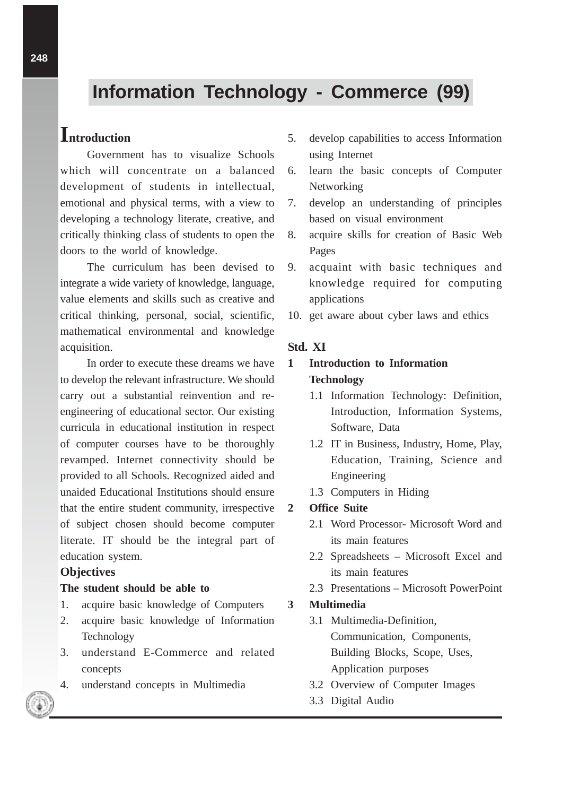# **Information Technology - Commerce (99)**

# **Introduction**

Government has to visualize Schools which will concentrate on a balanced development of students in intellectual, emotional and physical terms, with a view to developing a technology literate, creative, and critically thinking class of students to open the doors to the world of knowledge.

The curriculum has been devised to integrate a wide variety of knowledge, language, value elements and skills such as creative and critical thinking, personal, social, scientific, mathematical environmental and knowledge acquisition.

In order to execute these dreams we have to develop the relevant infrastructure. We should carry out a substantial reinvention and reengineering of educational sector. Our existing curricula in educational institution in respect of computer courses have to be thoroughly revamped. Internet connectivity should be provided to all Schools. Recognized aided and unaided Educational Institutions should ensure that the entire student community, irrespective of subject chosen should become computer literate. IT should be the integral part of education system.

# **Objectives**

#### **The student should be able to**

- 1. acquire basic knowledge of Computers
- 2. acquire basic knowledge of Information Technology
- 3. understand E-Commerce and related concepts
- 4. understand concepts in Multimedia
- 5. develop capabilities to access Information using Internet
- 6. learn the basic concepts of Computer **Networking**
- 7. develop an understanding of principles based on visual environment
- 8. acquire skills for creation of Basic Web Pages
- 9. acquaint with basic techniques and knowledge required for computing applications
- 10. get aware about cyber laws and ethics

# **Std. XI**

# **1 Introduction to Information Technology**

- 1.1 Information Technology: Definition, Introduction, Information Systems, Software, Data
- 1.2 IT in Business, Industry, Home, Play, Education, Training, Science and Engineering
- 1.3 Computers in Hiding

# **2 Office Suite**

- 2.1 Word Processor- Microsoft Word and its main features
- 2.2 Spreadsheets Microsoft Excel and its main features
- 2.3 Presentations Microsoft PowerPoint

# **3 Multimedia**

- 3.1 Multimedia-Definition, Communication, Components, Building Blocks, Scope, Uses, Application purposes
- 3.2 Overview of Computer Images
- 3.3 Digital Audio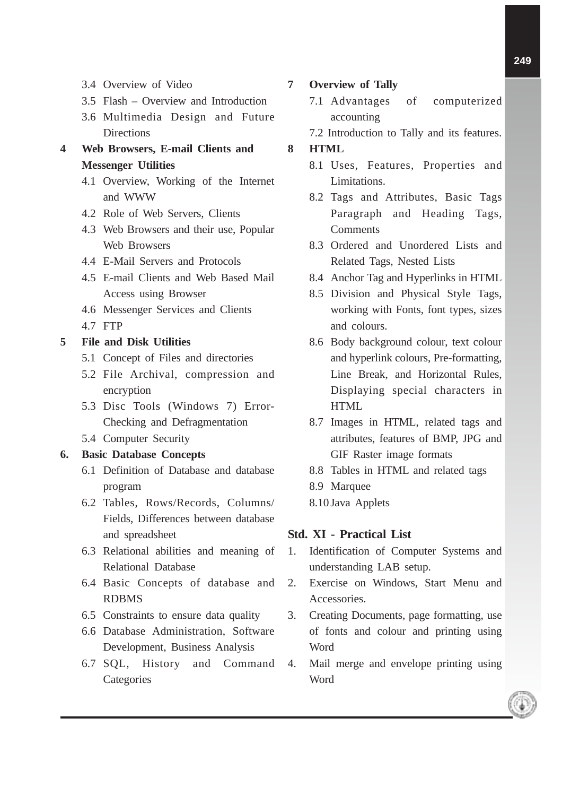- 3.4 Overview of Video
- 3.5 Flash Overview and Introduction
- 3.6 Multimedia Design and Future **Directions**
- **4 Web Browsers, E-mail Clients and Messenger Utilities**
	- 4.1 Overview, Working of the Internet and WWW
	- 4.2 Role of Web Servers, Clients
	- 4.3 Web Browsers and their use, Popular Web Browsers
	- 4.4 E-Mail Servers and Protocols
	- 4.5 E-mail Clients and Web Based Mail Access using Browser
	- 4.6 Messenger Services and Clients
	- 4.7 FTP

#### **5 File and Disk Utilities**

- 5.1 Concept of Files and directories
- 5.2 File Archival, compression and encryption
- 5.3 Disc Tools (Windows 7) Error-Checking and Defragmentation
- 5.4 Computer Security

### **6. Basic Database Concepts**

- 6.1 Definition of Database and database program
- 6.2 Tables, Rows/Records, Columns/ Fields, Differences between database and spreadsheet
- 6.3 Relational abilities and meaning of Relational Database
- 6.4 Basic Concepts of database and RDBMS
- 6.5 Constraints to ensure data quality
- 6.6 Database Administration, Software Development, Business Analysis
- 6.7 SQL, History and Command **Categories**

**7 Overview of Tally**

- 7.1 Advantages of computerized accounting
- 7.2 Introduction to Tally and its features.

### **8 HTML**

- 8.1 Uses, Features, Properties and Limitations.
- 8.2 Tags and Attributes, Basic Tags Paragraph and Heading Tags, **Comments**
- 8.3 Ordered and Unordered Lists and Related Tags, Nested Lists
- 8.4 Anchor Tag and Hyperlinks in HTML
- 8.5 Division and Physical Style Tags, working with Fonts, font types, sizes and colours.
- 8.6 Body background colour, text colour and hyperlink colours, Pre-formatting, Line Break, and Horizontal Rules, Displaying special characters in **HTML**
- 8.7 Images in HTML, related tags and attributes, features of BMP, JPG and GIF Raster image formats
- 8.8 Tables in HTML and related tags
- 8.9 Marquee
- 8.10 Java Applets

### **Std. XI - Practical List**

- 1. Identification of Computer Systems and understanding LAB setup.
- 2. Exercise on Windows, Start Menu and Accessories.
- 3. Creating Documents, page formatting, use of fonts and colour and printing using Word
- 4. Mail merge and envelope printing using Word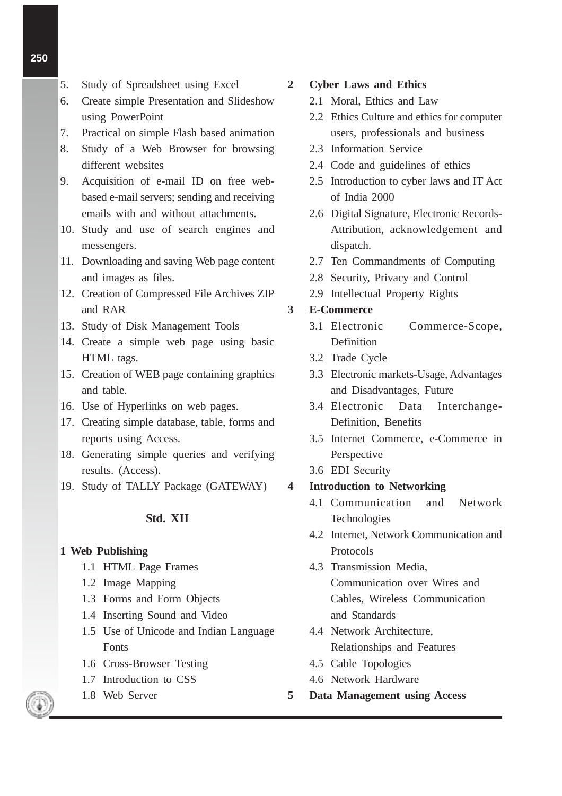- 5. Study of Spreadsheet using Excel
- 6. Create simple Presentation and Slideshow using PowerPoint
- 7. Practical on simple Flash based animation
- 8. Study of a Web Browser for browsing different websites
- 9. Acquisition of e-mail ID on free webbased e-mail servers; sending and receiving emails with and without attachments.
- 10. Study and use of search engines and messengers.
- 11. Downloading and saving Web page content and images as files.
- 12. Creation of Compressed File Archives ZIP and RAR
- 13. Study of Disk Management Tools
- 14. Create a simple web page using basic HTML tags.
- 15. Creation of WEB page containing graphics and table.
- 16. Use of Hyperlinks on web pages.
- 17. Creating simple database, table, forms and reports using Access.
- 18. Generating simple queries and verifying results. (Access).
- 19. Study of TALLY Package (GATEWAY)

#### **Std. XII**

#### **1 Web Publishing**

- 1.1 HTML Page Frames
- 1.2 Image Mapping
- 1.3 Forms and Form Objects
- 1.4 Inserting Sound and Video
- 1.5 Use of Unicode and Indian Language Fonts
- 1.6 Cross-Browser Testing
- 1.7 Introduction to CSS
- 1.8 Web Server

**2 Cyber Laws and Ethics**

- 2.1 Moral, Ethics and Law
- 2.2 Ethics Culture and ethics for computer users, professionals and business
- 2.3 Information Service
- 2.4 Code and guidelines of ethics
- 2.5 Introduction to cyber laws and IT Act of India 2000
- 2.6 Digital Signature, Electronic Records-Attribution, acknowledgement and dispatch.
- 2.7 Ten Commandments of Computing
- 2.8 Security, Privacy and Control
- 2.9 Intellectual Property Rights

### **3 E-Commerce**

- 3.1 Electronic Commerce-Scope, Definition
- 3.2 Trade Cycle
- 3.3 Electronic markets-Usage, Advantages and Disadvantages, Future
- 3.4 Electronic Data Interchange-Definition, Benefits
- 3.5 Internet Commerce, e-Commerce in Perspective
- 3.6 EDI Security

#### **4 Introduction to Networking**

- 4.1 Communication and Network Technologies
- 4.2 Internet, Network Communication and Protocols
- 4.3 Transmission Media, Communication over Wires and Cables, Wireless Communication and Standards
- 4.4 Network Architecture, Relationships and Features
- 4.5 Cable Topologies
- 4.6 Network Hardware
- **5 Data Management using Access**